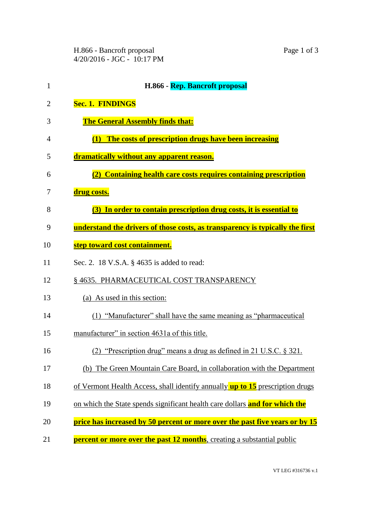H.866 - Bancroft proposal Page 1 of 3 4/20/2016 - JGC - 10:17 PM

| $\mathbf{1}$ | H.866 - Rep. Bancroft proposal                                                |
|--------------|-------------------------------------------------------------------------------|
| 2            | <b>Sec. 1. FINDINGS</b>                                                       |
| 3            | <b>The General Assembly finds that:</b>                                       |
| 4            | (1) The costs of prescription drugs have been increasing                      |
| 5            | dramatically without any apparent reason.                                     |
| 6            | (2) Containing health care costs requires containing prescription             |
| 7            | drug costs.                                                                   |
| 8            | (3) In order to contain prescription drug costs, it is essential to           |
| 9            | understand the drivers of those costs, as transparency is typically the first |
| 10           | step toward cost containment.                                                 |
| 11           | Sec. 2. 18 V.S.A. § 4635 is added to read:                                    |
| 12           | § 4635. PHARMACEUTICAL COST TRANSPARENCY                                      |
| 13           | (a) As used in this section:                                                  |
| 14           | (1) "Manufacturer" shall have the same meaning as "pharmaceutical             |
| 15           | manufacturer" in section 4631a of this title.                                 |
| 16           | (2) "Prescription drug" means a drug as defined in 21 U.S.C. $\S$ 321.        |
| 17           | (b) The Green Mountain Care Board, in collaboration with the Department       |
| 18           | of Vermont Health Access, shall identify annually up to 15 prescription drugs |
| 19           | on which the State spends significant health care dollars and for which the   |
| 20           | price has increased by 50 percent or more over the past five years or by 15   |
|              |                                                                               |

**percent or more over the past 12 months**, creating a substantial public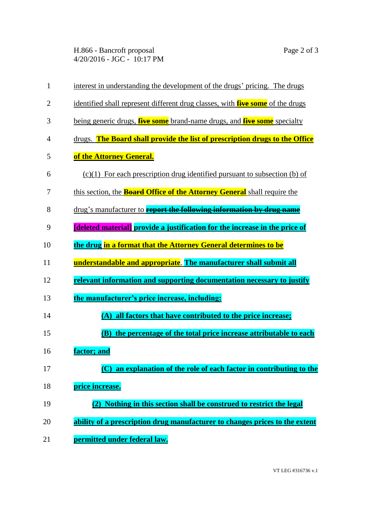H.866 - Bancroft proposal Page 2 of 3 4/20/2016 - JGC - 10:17 PM

| $\mathbf{1}$   | interest in understanding the development of the drugs' pricing. The drugs             |
|----------------|----------------------------------------------------------------------------------------|
| $\overline{2}$ | identified shall represent different drug classes, with <b>five some</b> of the drugs  |
| 3              | being generic drugs, <b>five some</b> brand-name drugs, and <b>five some</b> specialty |
| $\overline{4}$ | drugs. The Board shall provide the list of prescription drugs to the Office            |
| 5              | of the Attorney General.                                                               |
| 6              | $(c)(1)$ For each prescription drug identified pursuant to subsection (b) of           |
| 7              | this section, the <b>Board Office of the Attorney General</b> shall require the        |
| 8              | drug's manufacturer to <b>report the following information by drug name</b>            |
| 9              | [deleted material] provide a justification for the increase in the price of            |
| 10             | the drug in a format that the Attorney General determines to be                        |
| 11             | understandable and appropriate. The manufacturer shall submit all                      |
| 12             | relevant information and supporting documentation necessary to justify                 |
| 13             | the manufacturer's price increase, including:                                          |
| 14             | (A) all factors that have contributed to the price increase;                           |
| 15             | the percentage of the total price increase attributable to each<br><b>(B)</b>          |
| 16             | factor; and                                                                            |
| 17             | (C) an explanation of the role of each factor in contributing to the                   |
| 18             | price increase.                                                                        |
| 19             | (2) Nothing in this section shall be construed to restrict the legal                   |
| 20             | ability of a prescription drug manufacturer to changes prices to the extent            |
| 21             | permitted under federal law.                                                           |